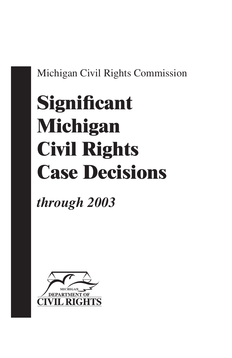# Michigan Civil Rights Commission

# **Significant Michigan Civil Rights Case Decisions**

*through 2003*

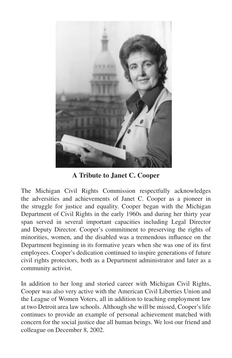

**A Tribute to Janet C. Cooper**

The Michigan Civil Rights Commission respectfully acknowledges the adversities and achievements of Janet C. Cooper as a pioneer in the struggle for justice and equality. Cooper began with the Michigan Department of Civil Rights in the early 1960s and during her thirty year span served in several important capacities including Legal Director and Deputy Director. Cooper's commitment to preserving the rights of minorities, women, and the disabled was a tremendous influence on the Department beginning in its formative years when she was one of its first employees. Cooper's dedication continued to inspire generations of future civil rights protectors, both as a Department administrator and later as a community activist.

In addition to her long and storied career with Michigan Civil Rights, Cooper was also very active with the American Civil Liberties Union and the League of Women Voters, all in addition to teaching employment law at two Detroit area law schools. Although she will be missed, Cooper's life continues to provide an example of personal achievement matched with concern for the social justice due all human beings. We lost our friend and colleague on December 8, 2002.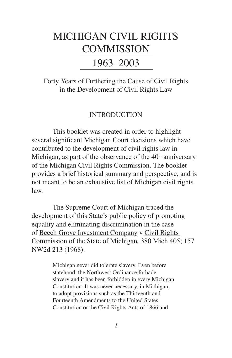# MICHIGAN CIVIL RIGHTS **COMMISSION**

## 1963–2003

Forty Years of Furthering the Cause of Civil Rights in the Development of Civil Rights Law

### INTRODUCTION

This booklet was created in order to highlight several significant Michigan Court decisions which have contributed to the development of civil rights law in Michigan, as part of the observance of the  $40<sup>th</sup>$  anniversary of the Michigan Civil Rights Commission. The booklet provides a brief historical summary and perspective, and is not meant to be an exhaustive list of Michigan civil rights law.

The Supreme Court of Michigan traced the development of this State's public policy of promoting equality and eliminating discrimination in the case of Beech Grove Investment Company v Civil Rights Commission of the State of Michigan*,* 380 Mich 405; 157 NW2d 213 (1968).

> Michigan never did tolerate slavery. Even before statehood, the Northwest Ordinance forbade slavery and it has been forbidden in every Michigan Constitution. It was never necessary, in Michigan, to adopt provisions such as the Thirteenth and Fourteenth Amendments to the United States Constitution or the Civil Rights Acts of 1866 and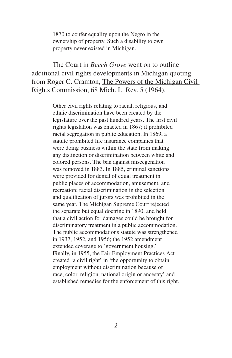1870 to confer equality upon the Negro in the ownership of property. Such a disability to own property never existed in Michigan.

The Court in *Beech Grove* went on to outline additional civil rights developments in Michigan quoting from Roger C. Cramton, The Powers of the Michigan Civil Rights Commission, 68 Mich. L. Rev. 5 (1964).

> Other civil rights relating to racial, religious, and ethnic discrimination have been created by the legislature over the past hundred years. The first civil rights legislation was enacted in 1867; it prohibited racial segregation in public education. In 1869, a statute prohibited life insurance companies that were doing business within the state from making any distinction or discrimination between white and colored persons. The ban against miscegenation was removed in 1883. In 1885, criminal sanctions were provided for denial of equal treatment in public places of accommodation, amusement, and recreation; racial discrimination in the selection and qualification of jurors was prohibited in the same year. The Michigan Supreme Court rejected the separate but equal doctrine in 1890, and held that a civil action for damages could be brought for discriminatory treatment in a public accommodation. The public accommodations statute was strengthened in 1937, 1952, and 1956; the 1952 amendment extended coverage to 'government housing.' Finally, in 1955, the Fair Employment Practices Act created 'a civil right' in 'the opportunity to obtain employment without discrimination because of race, color, religion, national origin or ancestry' and established remedies for the enforcement of this right.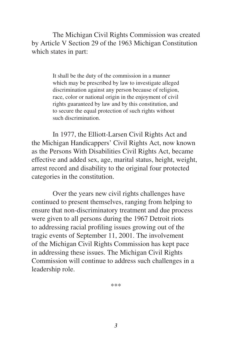The Michigan Civil Rights Commission was created by Article V Section 29 of the 1963 Michigan Constitution which states in part:

> It shall be the duty of the commission in a manner which may be prescribed by law to investigate alleged discrimination against any person because of religion, race, color or national origin in the enjoyment of civil rights guaranteed by law and by this constitution, and to secure the equal protection of such rights without such discrimination.

In 1977, the Elliott-Larsen Civil Rights Act and the Michigan Handicappers' Civil Rights Act, now known as the Persons With Disabilities Civil Rights Act, became effective and added sex, age, marital status, height, weight, arrest record and disability to the original four protected categories in the constitution.

Over the years new civil rights challenges have continued to present themselves, ranging from helping to ensure that non-discriminatory treatment and due process were given to all persons during the 1967 Detroit riots to addressing racial profiling issues growing out of the tragic events of September 11, 2001. The involvement of the Michigan Civil Rights Commission has kept pace in addressing these issues. The Michigan Civil Rights Commission will continue to address such challenges in a leadership role.

\*\*\*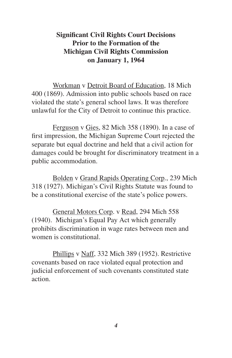## **Significant Civil Rights Court Decisions Prior to the Formation of the Michigan Civil Rights Commission on January 1, 1964**

Workman v Detroit Board of Education, 18 Mich 400 (1869). Admission into public schools based on race violated the state's general school laws. It was therefore unlawful for the City of Detroit to continue this practice.

Ferguson v Gies, 82 Mich 358 (1890). In a case of first impression, the Michigan Supreme Court rejected the separate but equal doctrine and held that a civil action for damages could be brought for discriminatory treatment in a public accommodation.

Bolden v Grand Rapids Operating Corp., 239 Mich 318 (1927). Michigan's Civil Rights Statute was found to be a constitutional exercise of the state's police powers.

General Motors Corp. v Read, 294 Mich 558 (1940). Michigan's Equal Pay Act which generally prohibits discrimination in wage rates between men and women is constitutional.

Phillips v Naff, 332 Mich 389 (1952). Restrictive covenants based on race violated equal protection and judicial enforcement of such covenants constituted state action.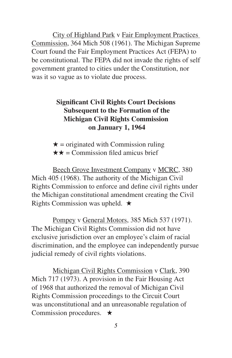City of Highland Park v Fair Employment Practices Commission, 364 Mich 508 (1961). The Michigan Supreme Court found the Fair Employment Practices Act (FEPA) to be constitutional. The FEPA did not invade the rights of self government granted to cities under the Constitution, nor was it so vague as to violate due process.

## **Significant Civil Rights Court Decisions Subsequent to the Formation of the Michigan Civil Rights Commission on January 1, 1964**

 $\star$  = originated with Commission ruling  $\star \star =$  Commission filed amicus brief

Beech Grove Investment Company v MCRC, 380 Mich 405 (1968). The authority of the Michigan Civil Rights Commission to enforce and define civil rights under the Michigan constitutional amendment creating the Civil Rights Commission was upheld.  $\star$ 

Pompey v General Motors, 385 Mich 537 (1971). The Michigan Civil Rights Commission did not have exclusive jurisdiction over an employee's claim of racial discrimination, and the employee can independently pursue judicial remedy of civil rights violations.

Michigan Civil Rights Commission v Clark, 390 Mich 717 (1973). A provision in the Fair Housing Act of 1968 that authorized the removal of Michigan Civil Rights Commission proceedings to the Circuit Court was unconstitutional and an unreasonable regulation of Commission procedures.  $\star$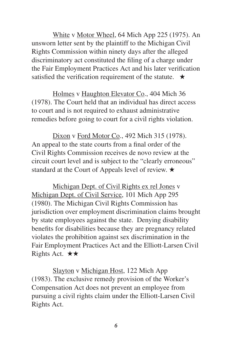White v Motor Wheel, 64 Mich App 225 (1975). An unsworn letter sent by the plaintiff to the Michigan Civil Rights Commission within ninety days after the alleged discriminatory act constituted the filing of a charge under the Fair Employment Practices Act and his later verification satisfied the verification requirement of the statute.  $\star$ 

Holmes v Haughton Elevator Co., 404 Mich 36 (1978). The Court held that an individual has direct access to court and is not required to exhaust administrative remedies before going to court for a civil rights violation.

Dixon v Ford Motor Co., 492 Mich 315 (1978). An appeal to the state courts from a final order of the Civil Rights Commission receives de novo review at the circuit court level and is subject to the "clearly erroneous" standard at the Court of Appeals level of review.  $\star$ 

Michigan Dept. of Civil Rights ex rel Jones v Michigan Dept. of Civil Service, 101 Mich App 295 (1980). The Michigan Civil Rights Commission has jurisdiction over employment discrimination claims brought by state employees against the state. Denying disability benefits for disabilities because they are pregnancy related violates the prohibition against sex discrimination in the Fair Employment Practices Act and the Elliott-Larsen Civil Rights Act.  $\star \star$ 

Slayton v Michigan Host, 122 Mich App (1983). The exclusive remedy provision of the Worker's Compensation Act does not prevent an employee from pursuing a civil rights claim under the Elliott-Larsen Civil Rights Act.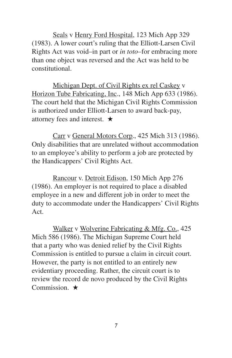Seals v Henry Ford Hospital, 123 Mich App 329 (1983). A lower court's ruling that the Elliott-Larsen Civil Rights Act was void–in part or *in toto*–for embracing more than one object was reversed and the Act was held to be constitutional.

Michigan Dept. of Civil Rights ex rel Caskey v Horizon Tube Fabricating, Inc., 148 Mich App 633 (1986). The court held that the Michigan Civil Rights Commission is authorized under Elliott-Larsen to award back-pay, attorney fees and interest.  $\star$ 

Carr v General Motors Corp., 425 Mich 313 (1986). Only disabilities that are unrelated without accommodation to an employee's ability to perform a job are protected by the Handicappers' Civil Rights Act.

Rancour v. Detroit Edison, 150 Mich App 276 (1986). An employer is not required to place a disabled employee in a new and different job in order to meet the duty to accommodate under the Handicappers' Civil Rights Act.

Walker v Wolverine Fabricating & Mfg. Co., 425 Mich 586 (1986). The Michigan Supreme Court held that a party who was denied relief by the Civil Rights Commission is entitled to pursue a claim in circuit court. However, the party is not entitled to an entirely new evidentiary proceeding. Rather, the circuit court is to review the record de novo produced by the Civil Rights Commission.  $\star$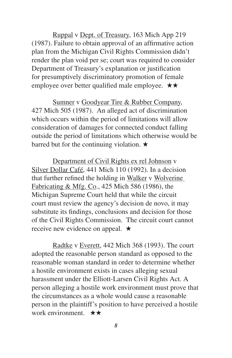Ruppal v Dept. of Treasury, 163 Mich App 219 (1987). Failure to obtain approval of an affirmative action plan from the Michigan Civil Rights Commission didn't render the plan void per se; court was required to consider Department of Treasury's explanation or justification for presumptively discriminatory promotion of female employee over better qualified male employee.  $\star \star$ 

Sumner v Goodyear Tire & Rubber Company, 427 Mich 505 (1987). An alleged act of discrimination which occurs within the period of limitations will allow consideration of damages for connected conduct falling outside the period of limitations which otherwise would be barred but for the continuing violation.  $\star$ 

Department of Civil Rights ex rel Johnson v Silver Dollar Café, 441 Mich 110 (1992). In a decision that further refined the holding in Walker v Wolverine Fabricating & Mfg. Co., 425 Mich 586 (1986), the Michigan Supreme Court held that while the circuit court must review the agency's decision de novo, it may substitute its findings, conclusions and decision for those of the Civil Rights Commission. The circuit court cannot receive new evidence on appeal.  $\star$ 

Radtke v Everett, 442 Mich 368 (1993). The court adopted the reasonable person standard as opposed to the reasonable woman standard in order to determine whether a hostile environment exists in cases alleging sexual harassment under the Elliott-Larsen Civil Rights Act. A person alleging a hostile work environment must prove that the circumstances as a whole would cause a reasonable person in the plaintiff's position to have perceived a hostile work environment.  $\star \star$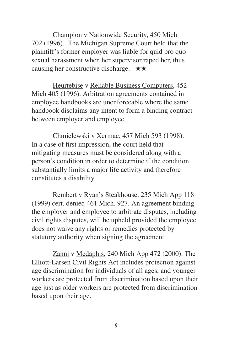Champion v Nationwide Security, 450 Mich 702 (1996). The Michigan Supreme Court held that the plaintiff's former employer was liable for quid pro quo sexual harassment when her supervisor raped her, thus causing her constructive discharge.  $\star \star$ 

Heurtebise v Reliable Business Computers, 452 Mich 405 (1996). Arbitration agreements contained in employee handbooks are unenforceable where the same handbook disclaims any intent to form a binding contract between employer and employee.

Chmielewski v Xermac, 457 Mich 593 (1998). In a case of first impression, the court held that mitigating measures must be considered along with a person's condition in order to determine if the condition substantially limits a major life activity and therefore constitutes a disability.

Rembert v Ryan's Steakhouse, 235 Mich App 118 (1999) cert. denied 461 Mich. 927. An agreement binding the employer and employee to arbitrate disputes, including civil rights disputes, will be upheld provided the employee does not waive any rights or remedies protected by statutory authority when signing the agreement.

Zanni v Medaphis, 240 Mich App 472 (2000). The Elliott-Larsen Civil Rights Act includes protection against age discrimination for individuals of all ages, and younger workers are protected from discrimination based upon their age just as older workers are protected from discrimination based upon their age.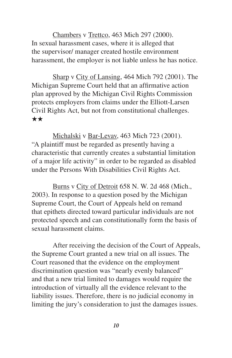Chambers v Trettco, 463 Mich 297 (2000). In sexual harassment cases, where it is alleged that the supervisor/ manager created hostile environment harassment, the employer is not liable unless he has notice.

Sharp v City of Lansing, 464 Mich 792 (2001). The Michigan Supreme Court held that an affirmative action plan approved by the Michigan Civil Rights Commission protects employers from claims under the Elliott-Larsen Civil Rights Act, but not from constitutional challenges. \*\*

Michalski v Bar-Levav, 463 Mich 723 (2001). "A plaintiff must be regarded as presently having a characteristic that currently creates a substantial limitation of a major life activity" in order to be regarded as disabled under the Persons With Disabilities Civil Rights Act.

Burns v City of Detroit 658 N. W. 2d 468 (Mich., 2003). In response to a question posed by the Michigan Supreme Court, the Court of Appeals held on remand that epithets directed toward particular individuals are not protected speech and can constitutionally form the basis of sexual harassment claims.

After receiving the decision of the Court of Appeals, the Supreme Court granted a new trial on all issues. The Court reasoned that the evidence on the employment discrimination question was "nearly evenly balanced" and that a new trial limited to damages would require the introduction of virtually all the evidence relevant to the liability issues. Therefore, there is no judicial economy in limiting the jury's consideration to just the damages issues.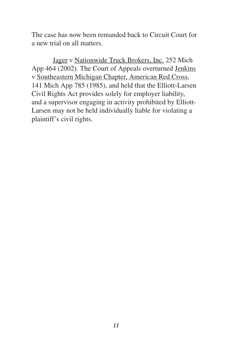The case has now been remanded back to Circuit Court for a new trial on all matters.

Jager v Nationwide Truck Brokers, Inc. 252 Mich App 464 (2002). The Court of Appeals overturned Jenkins v Southeastern Michigan Chapter, American Red Cross, 141 Mich App 785 (1985), and held that the Elliott-Larsen Civil Rights Act provides solely for employer liability, and a supervisor engaging in activity prohibited by Elliott-Larsen may not be held individually liable for violating a plaintiff's civil rights.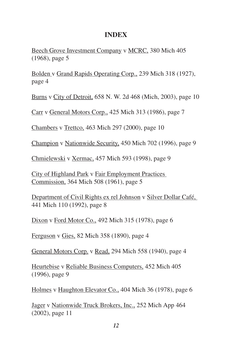## **INDEX**

Beech Grove Investment Company v MCRC, 380 Mich 405 (1968), page 5

Bolden v Grand Rapids Operating Corp., 239 Mich 318 (1927), page 4

Burns v City of Detroit, 658 N. W. 2d 468 (Mich, 2003), page 10

Carr v General Motors Corp., 425 Mich 313 (1986), page 7

Chambers v Trettco, 463 Mich 297 (2000), page 10

Champion v Nationwide Security, 450 Mich 702 (1996), page 9

Chmielewski v Xermac, 457 Mich 593 (1998), page 9

City of Highland Park v Fair Employment Practices Commission, 364 Mich 508 (1961), page 5

Department of Civil Rights ex rel Johnson v Silver Dollar Café, 441 Mich 110 (1992), page 8

Dixon v Ford Motor Co., 492 Mich 315 (1978), page 6

Ferguson v Gies, 82 Mich 358 (1890), page 4

General Motors Corp. v Read, 294 Mich 558 (1940), page 4

Heurtebise v Reliable Business Computers, 452 Mich 405 (1996), page 9

Holmes v Haughton Elevator Co., 404 Mich 36 (1978), page 6

Jager v Nationwide Truck Brokers, Inc., 252 Mich App 464 (2002), page 11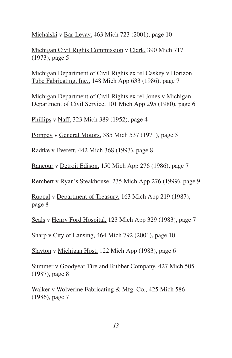Michalski v Bar-Levav, 463 Mich 723 (2001), page 10

Michigan Civil Rights Commission v Clark, 390 Mich 717 (1973), page 5

Michigan Department of Civil Rights ex rel Caskey v Horizon Tube Fabricating, Inc., 148 Mich App 633 (1986), page 7

Michigan Department of Civil Rights ex rel Jones v Michigan Department of Civil Service, 101 Mich App 295 (1980), page 6

Phillips v Naff, 323 Mich 389 (1952), page 4

Pompey v General Motors, 385 Mich 537 (1971), page 5

Radtke v Everett, 442 Mich 368 (1993), page 8

Rancour v Detroit Edison, 150 Mich App 276 (1986), page 7

Rembert v Ryan's Steakhouse, 235 Mich App 276 (1999), page 9

Ruppal v Department of Treasury, 163 Mich App 219 (1987), page 8

Seals v Henry Ford Hospital, 123 Mich App 329 (1983), page 7

Sharp v City of Lansing, 464 Mich 792 (2001), page 10

Slayton v Michigan Host, 122 Mich App (1983), page 6

Summer v Goodyear Tire and Rubber Company, 427 Mich 505 (1987), page 8

Walker v Wolverine Fabricating & Mfg. Co., 425 Mich 586 (1986), page 7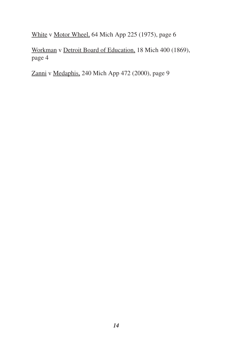White v Motor Wheel, 64 Mich App 225 (1975), page 6

Workman v Detroit Board of Education, 18 Mich 400 (1869), page 4

Zanni v Medaphis, 240 Mich App 472 (2000), page 9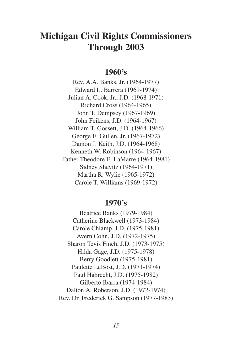## **Michigan Civil Rights Commissioners Through 2003**

## **1960's**

Rev. A.A. Banks, Jr. (1964-1977) Edward L. Barrera (1969-1974) Julian A. Cook, Jr., J.D. (1968-1971) Richard Cross (1964-1965) John T. Dempsey (1967-1969) John Feikens, J.D. (1964-1967) William T. Gossett, J.D. (1964-1966) George E. Gullen, Jr. (1967-1972) Damon J. Keith, J.D. (1964-1968) Kenneth W. Robinson (1964-1967) Father Theodore E. LaMarre (1964-1981) Sidney Shevitz (1964-1971) Martha R. Wylie (1965-1972) Carole T. Williams (1969-1972)

#### **1970's**

Beatrice Banks (1979-1984) Catherine Blackwell (1973-1984) Carole Chiamp, J.D. (1975-1981) Avern Cohn, J.D. (1972-1975) Sharon Tevis Finch, J.D. (1973-1975) Hilda Gage, J.D. (1975-1978) Berry Goodlett (1975-1981) Paulette LeBost, J.D. (1971-1974) Paul Habrecht, J.D. (1975-1982) Gilberto Ibarra (1974-1984) Dalton A. Roberson, J.D. (1972-1974) Rev. Dr. Frederick G. Sampson (1977-1983)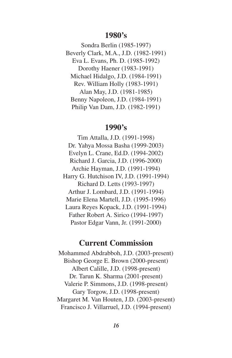#### **1980's**

Sondra Berlin (1985-1997) Beverly Clark, M.A., J.D. (1982-1991) Eva L. Evans, Ph. D. (1985-1992) Dorothy Haener (1983-1991) Michael Hidalgo, J.D. (1984-1991) Rev. William Holly (1983-1991) Alan May, J.D. (1981-1985) Benny Napoleon, J.D. (1984-1991) Philip Van Dam, J.D. (1982-1991)

## **1990's**

Tim Attalla, J.D. (1991-1998) Dr. Yahya Mossa Basha (1999-2003) Evelyn L. Crane, Ed.D. (1994-2002) Richard J. Garcia, J.D. (1996-2000) Archie Hayman, J.D. (1991-1994) Harry G. Hutchison IV, J.D. (1991-1994) Richard D. Letts (1993-1997) Arthur J. Lombard, J.D. (1991-1994) Marie Elena Martell, J.D. (1995-1996) Laura Reyes Kopack, J.D. (1991-1994) Father Robert A. Sirico (1994-1997) Pastor Edgar Vann, Jr. (1991-2000)

## **Current Commission**

Mohammed Abdrabboh, J.D. (2003-present) Bishop George E. Brown (2000-present) Albert Calille, J.D. (1998-present) Dr. Tarun K. Sharma (2001-present) Valerie P. Simmons, J.D. (1998-present) Gary Torgow, J.D. (1998-present) Margaret M. Van Houten, J.D. (2003-present) Francisco J. Villarruel, J.D. (1994-present)